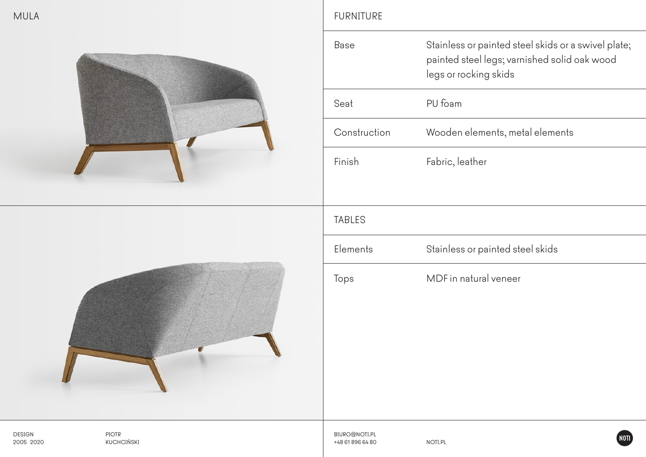



## MULA PURNITURE PURNITURE

|  | Base          | Stainless or painted steel skids or a swivel plate;<br>painted steel legs; varnished solid oak wood<br>legs or rocking skids |  |
|--|---------------|------------------------------------------------------------------------------------------------------------------------------|--|
|  | Seat          | PU foam                                                                                                                      |  |
|  | Construction  | Wooden elements, metal elements                                                                                              |  |
|  | Finish        | Fabric, leather                                                                                                              |  |
|  | <b>TABLES</b> |                                                                                                                              |  |
|  | Elements      | Stainless or painted steel skids                                                                                             |  |
|  | Tops          | MDF in natural veneer                                                                                                        |  |
|  | BIURO@NOTI.PL | <b>NOTI</b>                                                                                                                  |  |

PIOTR KUCHCIŃSKI

+48 61 896 64 80 NOTI.PL